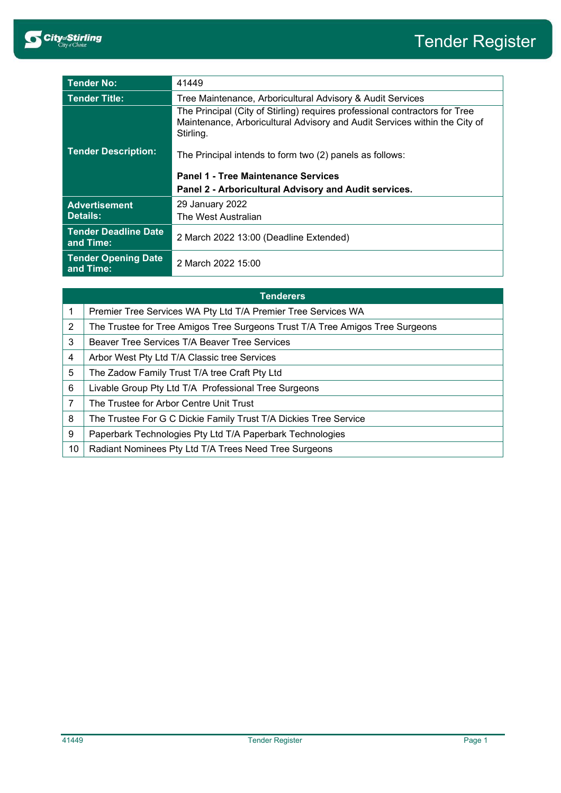

| <b>Tender No:</b>                        | 41449                                                                                                                                                                  |  |  |
|------------------------------------------|------------------------------------------------------------------------------------------------------------------------------------------------------------------------|--|--|
| <b>Tender Title:</b>                     | Tree Maintenance, Arboricultural Advisory & Audit Services                                                                                                             |  |  |
|                                          | The Principal (City of Stirling) requires professional contractors for Tree<br>Maintenance, Arboricultural Advisory and Audit Services within the City of<br>Stirling. |  |  |
| <b>Tender Description:</b>               | The Principal intends to form two (2) panels as follows:                                                                                                               |  |  |
|                                          | <b>Panel 1 - Tree Maintenance Services</b>                                                                                                                             |  |  |
|                                          | Panel 2 - Arboricultural Advisory and Audit services.                                                                                                                  |  |  |
| <b>Advertisement</b>                     | 29 January 2022                                                                                                                                                        |  |  |
| <b>Details:</b>                          | The West Australian                                                                                                                                                    |  |  |
| <b>Tender Deadline Date</b><br>and Time: | 2 March 2022 13:00 (Deadline Extended)                                                                                                                                 |  |  |
| <b>Tender Opening Date</b><br>and Time:  | 2 March 2022 15:00                                                                                                                                                     |  |  |

| <b>Tenderers</b> |                                                                               |  |  |  |
|------------------|-------------------------------------------------------------------------------|--|--|--|
| 1                | Premier Tree Services WA Pty Ltd T/A Premier Tree Services WA                 |  |  |  |
| 2                | The Trustee for Tree Amigos Tree Surgeons Trust T/A Tree Amigos Tree Surgeons |  |  |  |
| 3                | Beaver Tree Services T/A Beaver Tree Services                                 |  |  |  |
| 4                | Arbor West Pty Ltd T/A Classic tree Services                                  |  |  |  |
| 5                | The Zadow Family Trust T/A tree Craft Pty Ltd                                 |  |  |  |
| 6                | Livable Group Pty Ltd T/A Professional Tree Surgeons                          |  |  |  |
| 7                | The Trustee for Arbor Centre Unit Trust                                       |  |  |  |
| 8                | The Trustee For G C Dickie Family Trust T/A Dickies Tree Service              |  |  |  |
| 9                | Paperbark Technologies Pty Ltd T/A Paperbark Technologies                     |  |  |  |
| 10               | Radiant Nominees Pty Ltd T/A Trees Need Tree Surgeons                         |  |  |  |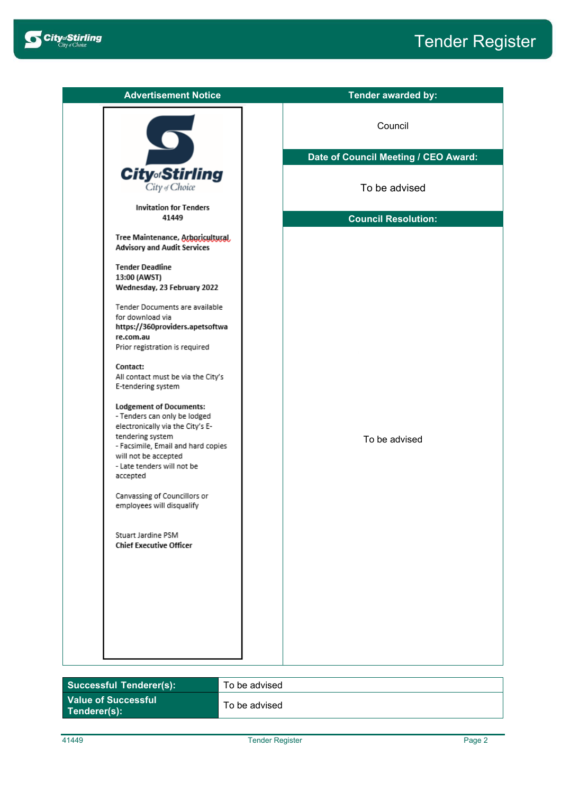

| <b>Advertisement Notice</b>                                                                                                                                                                                                    | <b>Tender awarded by:</b>            |  |  |
|--------------------------------------------------------------------------------------------------------------------------------------------------------------------------------------------------------------------------------|--------------------------------------|--|--|
|                                                                                                                                                                                                                                | Council                              |  |  |
|                                                                                                                                                                                                                                | Date of Council Meeting / CEO Award: |  |  |
| <b>City</b> <sub>of</sub> Stirling<br>City of Choice                                                                                                                                                                           | To be advised                        |  |  |
| <b>Invitation for Tenders</b><br>41449                                                                                                                                                                                         | <b>Council Resolution:</b>           |  |  |
| Tree Maintenance, Arboricultural,<br><b>Advisory and Audit Services</b>                                                                                                                                                        |                                      |  |  |
| <b>Tender Deadline</b><br>13:00 (AWST)<br>Wednesday, 23 February 2022                                                                                                                                                          |                                      |  |  |
| Tender Documents are available<br>for download via<br>https://360providers.apetsoftwa<br>re.com.au<br>Prior registration is required                                                                                           |                                      |  |  |
| Contact:<br>All contact must be via the City's<br>E-tendering system                                                                                                                                                           |                                      |  |  |
| <b>Lodgement of Documents:</b><br>- Tenders can only be lodged<br>electronically via the City's E-<br>tendering system<br>- Facsimile, Email and hard copies<br>will not be accepted<br>- Late tenders will not be<br>accepted | To be advised                        |  |  |
| Canvassing of Councillors or<br>employees will disqualify                                                                                                                                                                      |                                      |  |  |
| Stuart Jardine PSM<br><b>Chief Executive Officer</b>                                                                                                                                                                           |                                      |  |  |
|                                                                                                                                                                                                                                |                                      |  |  |
|                                                                                                                                                                                                                                |                                      |  |  |
|                                                                                                                                                                                                                                |                                      |  |  |

| <b>Successful Tenderer(s):</b>             | To be advised |
|--------------------------------------------|---------------|
| <b>Value of Successful</b><br>Tenderer(s): | To be advised |